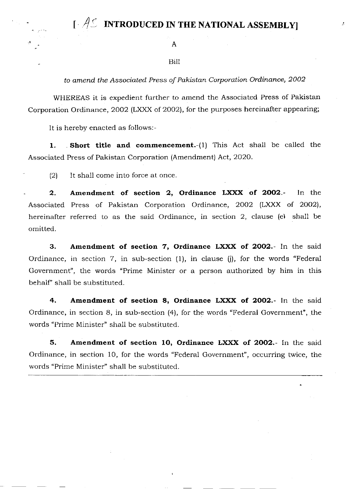$\mathfrak{l}$   $\mathcal{A}$  introduced in the national assembly

## Bill

to amend the Associated Press of Pakistan Corporation Ordinance, 2OO2

WHEREAS it is expedient further to amend the Associated Press of Pakistan Corporation Ordinance, 2OO2 (LXXX of 2OO2l, for the purposes hereinafter appearing;

It is hereby enacted as follows:-

1. Short title and commencement.-(1) This Act shall be called the Associated Press of Pakistan Corporation (Amendment) Act,2O2O.

 $(2)$  It shall come into force at once.

2. Amendment of section 2, Ordinance LXXX of 2002.- In the Associated Press of Pakistan Corporation Ordinance, 2OO2 (LXXX of 2OO2), hereinafter referred to as the said Ordinance, in section 2, clause (e) shall be omitted.

3. Amendment of section 7, Ordinance LXXX of 2002.- In the said Ordinance, in section 7, in sub-section (1), in clause (i), for the words "Federal Government", the words \*Prime Minister or a person authorized by him in this behalf" shal1 be substituted.

4. Amendment of section 8, Ordinance LXXX of 2002.- In the said Ordinance, in section 8, in sub-section (4), for the words "Federal Government', the words "Prime Minister" shall be substituted.

5. Amendment of section 1O, Ordinance LXXX of 2OO2.- In the said Ordinance, in section 10, for the words "Federal Government", occurring twice, the words "Prime Minister" shall be substituted.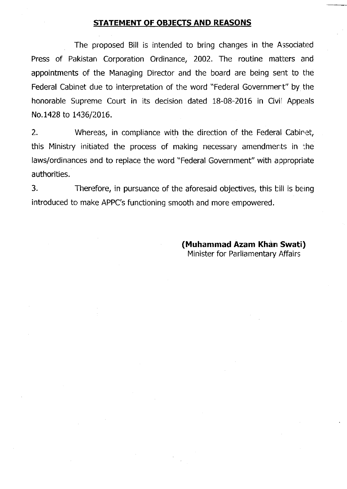## STATEMENT OF OBJECTS AND REASONS

The proposed Bill is intended to bring changes in the Associated Press of Pakistan Corporation Ordinance, 2002. The routine matters and appointments of the Managing Director and the board are being sent to the Federal Cabinet due to interpretation of the word "Federal Governmert" by the honorable Supreme Court in its decision dated 18-08-2016 in Civil Appeals No.1428 to 1436/2016.

2. Whereas, in compliance with the direction of the Federal Cabinet, this Ministry initiated the process of making necessary amendmerts in :he laws/ordinances and to replace the word "Federal Government" with appropriate authorities.

3. Therefore, in pursuance of the aforesaid objectives, this bill is being introduced to make APPC's functioning smooth and more empowered.

> (Muhammad Azam Khàn Swati) Minister for Parliamentary Affairs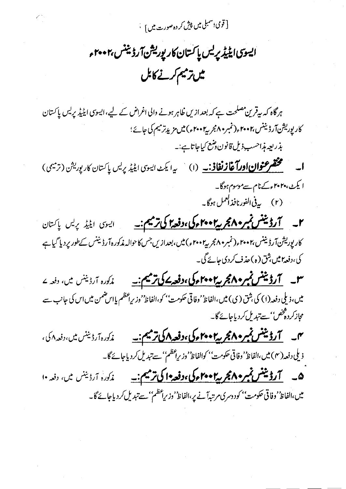[ قومی اسمبلی میں پپش کر دہ صورت میں ] غ

ایسوی ایلیڈیریس پاکستان کارپوریشن آرڈیننس بی ۲۰۰۰ م میں ترمیم *کرنے کا*بل

ہرگاہ کہ بیرقرین مصلحت ہے کہ بعد ازیں ظاہر ہونے والی اغراض کے لیے،ایسوی ایٹیڈ پریس پاکستان کار پوریشنآ رڈیننس،۲۰۰۲ء (نمبر ۸۰ مجربہ ۲۰۰۲ء) میں مزید ترمیم کی جائے؛ بذريعه مذاحسب ذيل قانون وشع كياجاتا ہے:۔ **ا۔ سمجھتھرعنوان اورآغازنغاذ۔۔** (۱) سپرایکٹ ایسوی ایٹیڈیریس پاکستان کارپوریش (ترمیمی)

ایکٹ، ۲۰۲۰ءکے نام سےموسوم ہوگا۔ (۲) پی<sup>فی ا</sup>لفورنافذ ا<sup>لعم</sup>ل ہوگا۔

کار پوریشنآ رڈیننس،۲۰۰۲ء (نمبر ۲۰۰۴ء کی ۲۰۰۳ء) میں،بعدازیں جس کاحوالہ مذکورہ آ رڈیننس کےطور پر دیا گیاہے کی،دفعہ ہیں شق(ہ)حذف کردی جائے گی۔

مذکورہ آرڈیننس میں، دفعہ کے میں، ذیلی دفعہ (۱) کی ہثق ( ی) میں،الفاظ' وفاقی حکومت'' کو،الفاظ' وزیراعظم یااس ضمن میں اس کی جانب سے مجازکردہخص''سےتبدیل کردیاجائے گا۔

زیلی دفعہ( ۴) میں،الفاظ ُ'وفاقی حکومت'' کوالفاظ' وزیراعظم'' سے تبدیل کردیاجائے گا۔

۰۰ <del>میل فروشنش نمبر ۱۹۶۰ میل ۲۰۰۲ مرگی دفعه ۱۰ کی ترمیم: ۱۰</del> میل دارد نیز است و زند ۱۰ میلی بر دفعه ۱۰ میلی بر د میں،الفاظ' وفاقی حکومت' کودوسری مرتبہآنے پر،الفاظ' وزیراعظم''سے تبدیل کردیاجائے گا۔